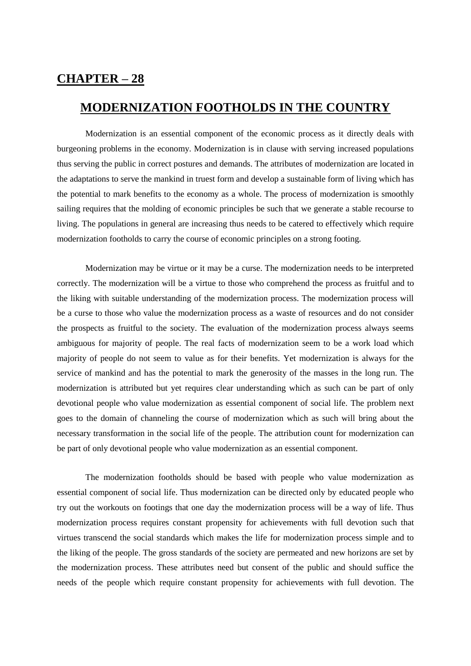## **CHAPTER – 28**

## **MODERNIZATION FOOTHOLDS IN THE COUNTRY**

Modernization is an essential component of the economic process as it directly deals with burgeoning problems in the economy. Modernization is in clause with serving increased populations thus serving the public in correct postures and demands. The attributes of modernization are located in the adaptations to serve the mankind in truest form and develop a sustainable form of living which has the potential to mark benefits to the economy as a whole. The process of modernization is smoothly sailing requires that the molding of economic principles be such that we generate a stable recourse to living. The populations in general are increasing thus needs to be catered to effectively which require modernization footholds to carry the course of economic principles on a strong footing.

Modernization may be virtue or it may be a curse. The modernization needs to be interpreted correctly. The modernization will be a virtue to those who comprehend the process as fruitful and to the liking with suitable understanding of the modernization process. The modernization process will be a curse to those who value the modernization process as a waste of resources and do not consider the prospects as fruitful to the society. The evaluation of the modernization process always seems ambiguous for majority of people. The real facts of modernization seem to be a work load which majority of people do not seem to value as for their benefits. Yet modernization is always for the service of mankind and has the potential to mark the generosity of the masses in the long run. The modernization is attributed but yet requires clear understanding which as such can be part of only devotional people who value modernization as essential component of social life. The problem next goes to the domain of channeling the course of modernization which as such will bring about the necessary transformation in the social life of the people. The attribution count for modernization can be part of only devotional people who value modernization as an essential component.

The modernization footholds should be based with people who value modernization as essential component of social life. Thus modernization can be directed only by educated people who try out the workouts on footings that one day the modernization process will be a way of life. Thus modernization process requires constant propensity for achievements with full devotion such that virtues transcend the social standards which makes the life for modernization process simple and to the liking of the people. The gross standards of the society are permeated and new horizons are set by the modernization process. These attributes need but consent of the public and should suffice the needs of the people which require constant propensity for achievements with full devotion. The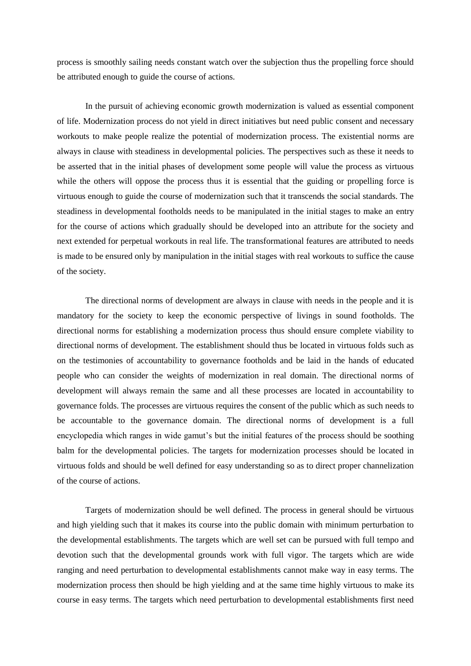process is smoothly sailing needs constant watch over the subjection thus the propelling force should be attributed enough to guide the course of actions.

In the pursuit of achieving economic growth modernization is valued as essential component of life. Modernization process do not yield in direct initiatives but need public consent and necessary workouts to make people realize the potential of modernization process. The existential norms are always in clause with steadiness in developmental policies. The perspectives such as these it needs to be asserted that in the initial phases of development some people will value the process as virtuous while the others will oppose the process thus it is essential that the guiding or propelling force is virtuous enough to guide the course of modernization such that it transcends the social standards. The steadiness in developmental footholds needs to be manipulated in the initial stages to make an entry for the course of actions which gradually should be developed into an attribute for the society and next extended for perpetual workouts in real life. The transformational features are attributed to needs is made to be ensured only by manipulation in the initial stages with real workouts to suffice the cause of the society.

The directional norms of development are always in clause with needs in the people and it is mandatory for the society to keep the economic perspective of livings in sound footholds. The directional norms for establishing a modernization process thus should ensure complete viability to directional norms of development. The establishment should thus be located in virtuous folds such as on the testimonies of accountability to governance footholds and be laid in the hands of educated people who can consider the weights of modernization in real domain. The directional norms of development will always remain the same and all these processes are located in accountability to governance folds. The processes are virtuous requires the consent of the public which as such needs to be accountable to the governance domain. The directional norms of development is a full encyclopedia which ranges in wide gamut's but the initial features of the process should be soothing balm for the developmental policies. The targets for modernization processes should be located in virtuous folds and should be well defined for easy understanding so as to direct proper channelization of the course of actions.

Targets of modernization should be well defined. The process in general should be virtuous and high yielding such that it makes its course into the public domain with minimum perturbation to the developmental establishments. The targets which are well set can be pursued with full tempo and devotion such that the developmental grounds work with full vigor. The targets which are wide ranging and need perturbation to developmental establishments cannot make way in easy terms. The modernization process then should be high yielding and at the same time highly virtuous to make its course in easy terms. The targets which need perturbation to developmental establishments first need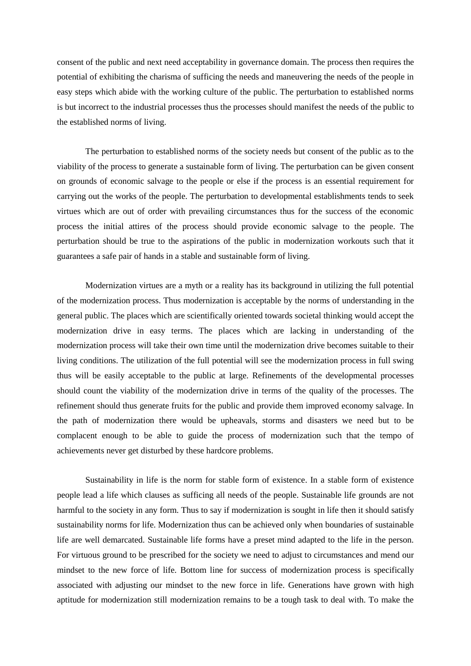consent of the public and next need acceptability in governance domain. The process then requires the potential of exhibiting the charisma of sufficing the needs and maneuvering the needs of the people in easy steps which abide with the working culture of the public. The perturbation to established norms is but incorrect to the industrial processes thus the processes should manifest the needs of the public to the established norms of living.

The perturbation to established norms of the society needs but consent of the public as to the viability of the process to generate a sustainable form of living. The perturbation can be given consent on grounds of economic salvage to the people or else if the process is an essential requirement for carrying out the works of the people. The perturbation to developmental establishments tends to seek virtues which are out of order with prevailing circumstances thus for the success of the economic process the initial attires of the process should provide economic salvage to the people. The perturbation should be true to the aspirations of the public in modernization workouts such that it guarantees a safe pair of hands in a stable and sustainable form of living.

Modernization virtues are a myth or a reality has its background in utilizing the full potential of the modernization process. Thus modernization is acceptable by the norms of understanding in the general public. The places which are scientifically oriented towards societal thinking would accept the modernization drive in easy terms. The places which are lacking in understanding of the modernization process will take their own time until the modernization drive becomes suitable to their living conditions. The utilization of the full potential will see the modernization process in full swing thus will be easily acceptable to the public at large. Refinements of the developmental processes should count the viability of the modernization drive in terms of the quality of the processes. The refinement should thus generate fruits for the public and provide them improved economy salvage. In the path of modernization there would be upheavals, storms and disasters we need but to be complacent enough to be able to guide the process of modernization such that the tempo of achievements never get disturbed by these hardcore problems.

Sustainability in life is the norm for stable form of existence. In a stable form of existence people lead a life which clauses as sufficing all needs of the people. Sustainable life grounds are not harmful to the society in any form. Thus to say if modernization is sought in life then it should satisfy sustainability norms for life. Modernization thus can be achieved only when boundaries of sustainable life are well demarcated. Sustainable life forms have a preset mind adapted to the life in the person. For virtuous ground to be prescribed for the society we need to adjust to circumstances and mend our mindset to the new force of life. Bottom line for success of modernization process is specifically associated with adjusting our mindset to the new force in life. Generations have grown with high aptitude for modernization still modernization remains to be a tough task to deal with. To make the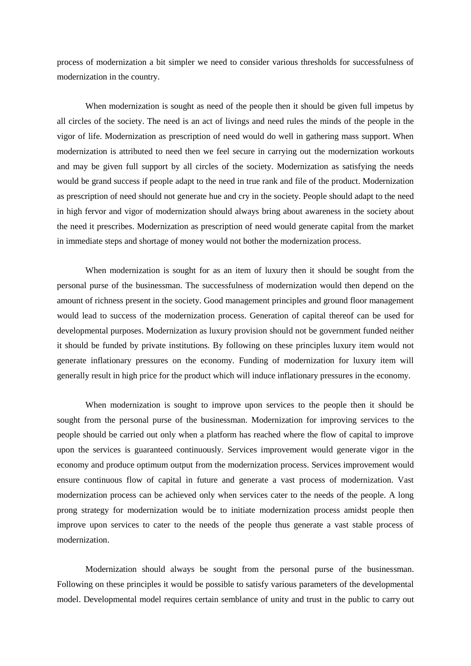process of modernization a bit simpler we need to consider various thresholds for successfulness of modernization in the country.

When modernization is sought as need of the people then it should be given full impetus by all circles of the society. The need is an act of livings and need rules the minds of the people in the vigor of life. Modernization as prescription of need would do well in gathering mass support. When modernization is attributed to need then we feel secure in carrying out the modernization workouts and may be given full support by all circles of the society. Modernization as satisfying the needs would be grand success if people adapt to the need in true rank and file of the product. Modernization as prescription of need should not generate hue and cry in the society. People should adapt to the need in high fervor and vigor of modernization should always bring about awareness in the society about the need it prescribes. Modernization as prescription of need would generate capital from the market in immediate steps and shortage of money would not bother the modernization process.

When modernization is sought for as an item of luxury then it should be sought from the personal purse of the businessman. The successfulness of modernization would then depend on the amount of richness present in the society. Good management principles and ground floor management would lead to success of the modernization process. Generation of capital thereof can be used for developmental purposes. Modernization as luxury provision should not be government funded neither it should be funded by private institutions. By following on these principles luxury item would not generate inflationary pressures on the economy. Funding of modernization for luxury item will generally result in high price for the product which will induce inflationary pressures in the economy.

When modernization is sought to improve upon services to the people then it should be sought from the personal purse of the businessman. Modernization for improving services to the people should be carried out only when a platform has reached where the flow of capital to improve upon the services is guaranteed continuously. Services improvement would generate vigor in the economy and produce optimum output from the modernization process. Services improvement would ensure continuous flow of capital in future and generate a vast process of modernization. Vast modernization process can be achieved only when services cater to the needs of the people. A long prong strategy for modernization would be to initiate modernization process amidst people then improve upon services to cater to the needs of the people thus generate a vast stable process of modernization.

Modernization should always be sought from the personal purse of the businessman. Following on these principles it would be possible to satisfy various parameters of the developmental model. Developmental model requires certain semblance of unity and trust in the public to carry out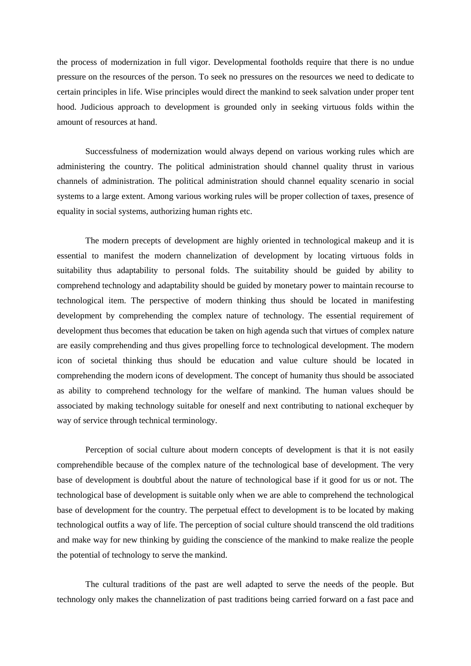the process of modernization in full vigor. Developmental footholds require that there is no undue pressure on the resources of the person. To seek no pressures on the resources we need to dedicate to certain principles in life. Wise principles would direct the mankind to seek salvation under proper tent hood. Judicious approach to development is grounded only in seeking virtuous folds within the amount of resources at hand.

Successfulness of modernization would always depend on various working rules which are administering the country. The political administration should channel quality thrust in various channels of administration. The political administration should channel equality scenario in social systems to a large extent. Among various working rules will be proper collection of taxes, presence of equality in social systems, authorizing human rights etc.

The modern precepts of development are highly oriented in technological makeup and it is essential to manifest the modern channelization of development by locating virtuous folds in suitability thus adaptability to personal folds. The suitability should be guided by ability to comprehend technology and adaptability should be guided by monetary power to maintain recourse to technological item. The perspective of modern thinking thus should be located in manifesting development by comprehending the complex nature of technology. The essential requirement of development thus becomes that education be taken on high agenda such that virtues of complex nature are easily comprehending and thus gives propelling force to technological development. The modern icon of societal thinking thus should be education and value culture should be located in comprehending the modern icons of development. The concept of humanity thus should be associated as ability to comprehend technology for the welfare of mankind. The human values should be associated by making technology suitable for oneself and next contributing to national exchequer by way of service through technical terminology.

Perception of social culture about modern concepts of development is that it is not easily comprehendible because of the complex nature of the technological base of development. The very base of development is doubtful about the nature of technological base if it good for us or not. The technological base of development is suitable only when we are able to comprehend the technological base of development for the country. The perpetual effect to development is to be located by making technological outfits a way of life. The perception of social culture should transcend the old traditions and make way for new thinking by guiding the conscience of the mankind to make realize the people the potential of technology to serve the mankind.

The cultural traditions of the past are well adapted to serve the needs of the people. But technology only makes the channelization of past traditions being carried forward on a fast pace and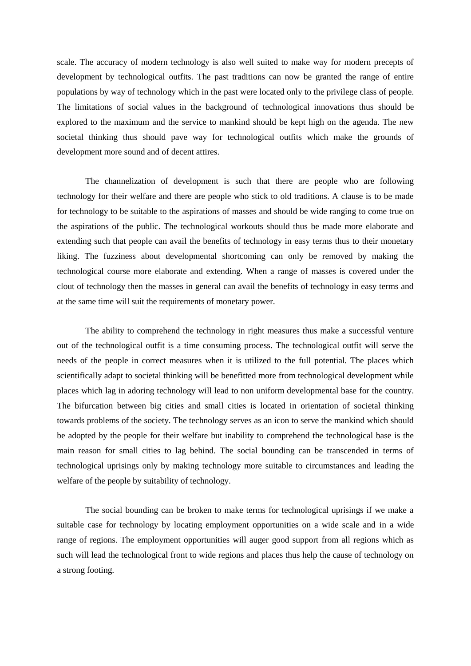scale. The accuracy of modern technology is also well suited to make way for modern precepts of development by technological outfits. The past traditions can now be granted the range of entire populations by way of technology which in the past were located only to the privilege class of people. The limitations of social values in the background of technological innovations thus should be explored to the maximum and the service to mankind should be kept high on the agenda. The new societal thinking thus should pave way for technological outfits which make the grounds of development more sound and of decent attires.

The channelization of development is such that there are people who are following technology for their welfare and there are people who stick to old traditions. A clause is to be made for technology to be suitable to the aspirations of masses and should be wide ranging to come true on the aspirations of the public. The technological workouts should thus be made more elaborate and extending such that people can avail the benefits of technology in easy terms thus to their monetary liking. The fuzziness about developmental shortcoming can only be removed by making the technological course more elaborate and extending. When a range of masses is covered under the clout of technology then the masses in general can avail the benefits of technology in easy terms and at the same time will suit the requirements of monetary power.

The ability to comprehend the technology in right measures thus make a successful venture out of the technological outfit is a time consuming process. The technological outfit will serve the needs of the people in correct measures when it is utilized to the full potential. The places which scientifically adapt to societal thinking will be benefitted more from technological development while places which lag in adoring technology will lead to non uniform developmental base for the country. The bifurcation between big cities and small cities is located in orientation of societal thinking towards problems of the society. The technology serves as an icon to serve the mankind which should be adopted by the people for their welfare but inability to comprehend the technological base is the main reason for small cities to lag behind. The social bounding can be transcended in terms of technological uprisings only by making technology more suitable to circumstances and leading the welfare of the people by suitability of technology.

The social bounding can be broken to make terms for technological uprisings if we make a suitable case for technology by locating employment opportunities on a wide scale and in a wide range of regions. The employment opportunities will auger good support from all regions which as such will lead the technological front to wide regions and places thus help the cause of technology on a strong footing.